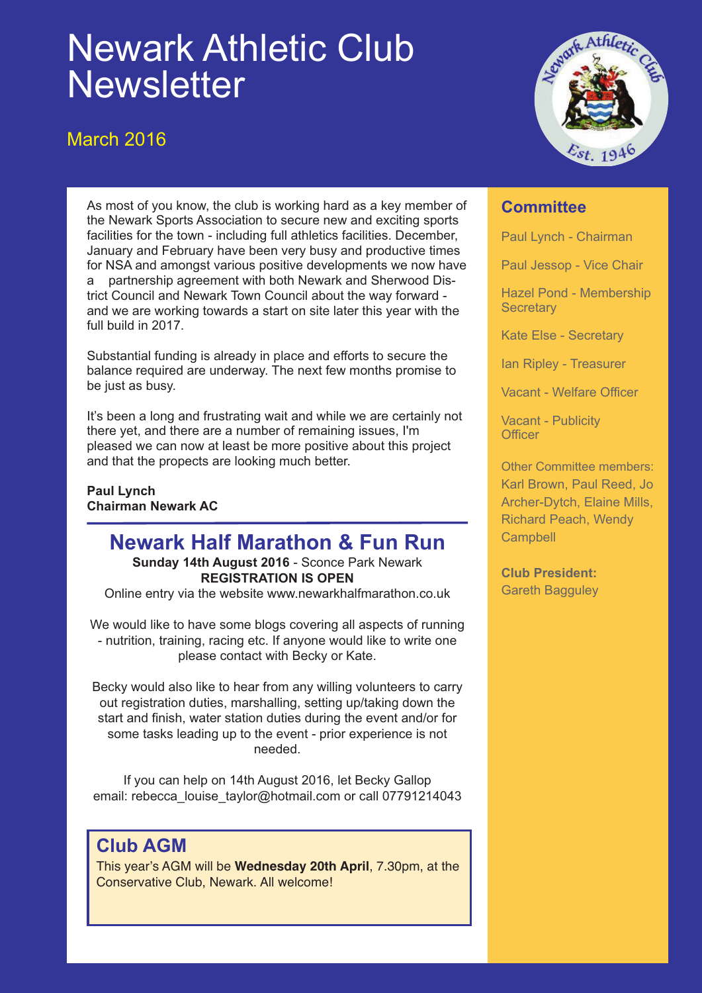# Newark Athletic Club **Newsletter**

March 2016



As most of you know, the club is working hard as a key member of the Newark Sports Association to secure new and exciting sports facilities for the town - including full athletics facilities. December, January and February have been very busy and productive times for NSA and amongst various positive developments we now have a partnership agreement with both Newark and Sherwood District Council and Newark Town Council about the way forward and we are working towards a start on site later this year with the full build in 2017.

Substantial funding is already in place and efforts to secure the balance required are underway. The next few months promise to be just as busy.

It's been a long and frustrating wait and while we are certainly not there yet, and there are a number of remaining issues, I'm pleased we can now at least be more positive about this project and that the propects are looking much better.

**Paul Lynch Chairman Newark AC**

## **Newark Half Marathon & Fun Run**

**Sunday 14th August 2016** - Sconce Park Newark **REGISTRATION IS OPEN**

Online entry via the website www.newarkhalfmarathon.co.uk

We would like to have some blogs covering all aspects of running - nutrition, training, racing etc. If anyone would like to write one please contact with Becky or Kate.

Becky would also like to hear from any willing volunteers to carry out registration duties, marshalling, setting up/taking down the start and finish, water station duties during the event and/or for some tasks leading up to the event - prior experience is not needed.

If you can help on 14th August 2016, let Becky Gallop email: rebecca\_louise\_taylor@hotmail.com or call 07791214043

### **Club AGM**

This year's AGM will be **Wednesday 20th April**, 7.30pm, at the Conservative Club, Newark. All welcome!

### **Committee**

Paul Lynch - Chairman

Paul Jessop - Vice Chair

Hazel Pond - Membership **Secretary** 

Kate Else - Secretary

Ian Ripley - Treasurer

Vacant - Welfare Officer

Vacant - Publicity **Officer** 

Other Committee members: Karl Brown, Paul Reed, Jo Archer-Dytch, Elaine Mills, Richard Peach, Wendy **Campbell** 

**Club President:** Gareth Bagguley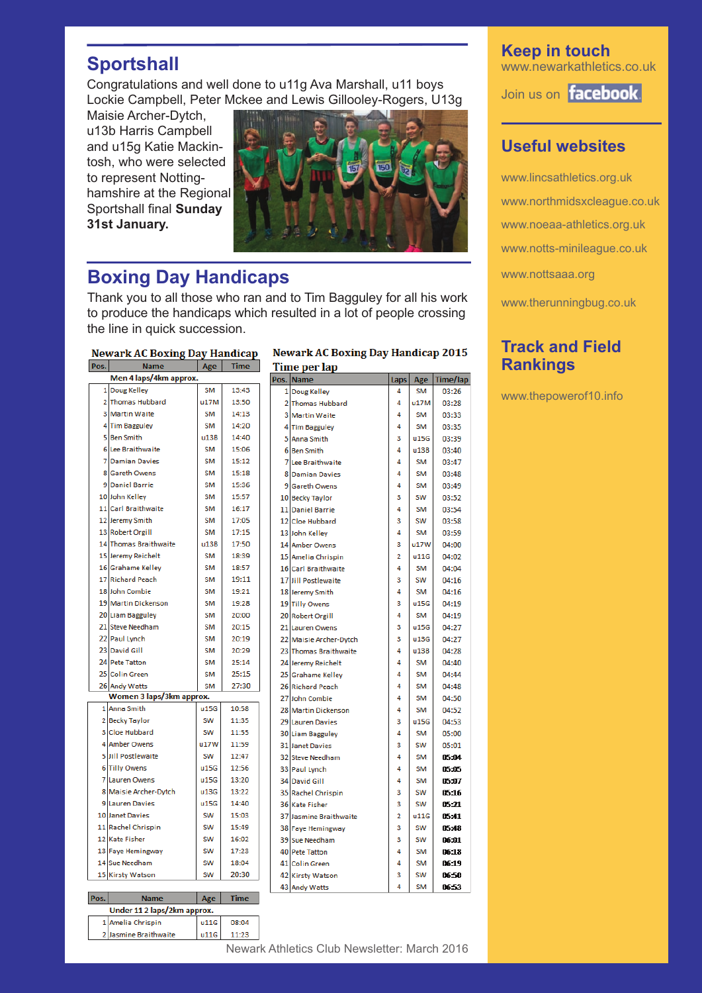### **Sportshall**

Congratulations and well done to u11g Ava Marshall, u11 boys Lockie Campbell, Peter Mckee and Lewis Gillooley-Rogers, U13g

Maisie Archer-Dytch, u13b Harris Campbell and u15g Katie Mackintosh, who were selected to represent Nottinghamshire at the Regional Sportshall final **Sunday 31st January.**



### **Boxing Day Handicaps**

Thank you to all those who ran and to Tim Bagguley for all his work to produce the handicaps which resulted in a lot of people crossing the line in quick succession.

**Newark AC Boxing Day Handicap** 

| POS.                     | name                  | Age       | Time  |  |  |  |  |
|--------------------------|-----------------------|-----------|-------|--|--|--|--|
| Men 4 laps/4km approx.   |                       |           |       |  |  |  |  |
|                          | 1 Doug Kelley         | <b>SM</b> | 13:43 |  |  |  |  |
|                          | 2 Thomas Hubbard      | u17M      | 13:50 |  |  |  |  |
|                          | <b>3 Martin Waite</b> | SM        | 14:13 |  |  |  |  |
| 4                        | <b>Tim Bagguley</b>   | <b>SM</b> | 14:20 |  |  |  |  |
| 5                        | <b>Ben Smith</b>      | u13B      | 14:40 |  |  |  |  |
|                          | 6 Lee Braithwaite     | SM        | 15:06 |  |  |  |  |
| 7                        | <b>Damian Davies</b>  | <b>SM</b> | 15:12 |  |  |  |  |
|                          | 8 Gareth Owens        | <b>SM</b> | 15:18 |  |  |  |  |
|                          | 9 Daniel Barrie       | <b>SM</b> | 15:36 |  |  |  |  |
|                          | 10 John Kellev        | <b>SM</b> | 15:57 |  |  |  |  |
|                          | 11 Carl Braithwaite   | <b>SM</b> | 16:17 |  |  |  |  |
|                          | 12 Jeremy Smith       | SM        | 17:05 |  |  |  |  |
|                          | 13 Robert Orgill      | SM        | 17:15 |  |  |  |  |
|                          | 14 Thomas Braithwaite | u13B      | 17:50 |  |  |  |  |
|                          | 15 Jeremy Reichelt    | <b>SM</b> | 18:39 |  |  |  |  |
|                          | 16 Grahame Kellev     | <b>SM</b> | 18:57 |  |  |  |  |
|                          | 17 Richard Peach      | <b>SM</b> | 19:11 |  |  |  |  |
|                          | 18 John Combie        | <b>SM</b> | 19:21 |  |  |  |  |
|                          | 19 Martin Dickenson   | <b>SM</b> | 19:28 |  |  |  |  |
|                          | 20 Liam Bagguley      | <b>SM</b> | 20:00 |  |  |  |  |
|                          | 21 Steve Needham      | <b>SM</b> | 20:15 |  |  |  |  |
|                          | 22 Paul Lynch         | <b>SM</b> | 20:19 |  |  |  |  |
|                          | 23 David Gill         | <b>SM</b> | 20:29 |  |  |  |  |
|                          | 24 Pete Tatton        | <b>SM</b> | 25:14 |  |  |  |  |
|                          | 25 Colin Green        | <b>SM</b> | 25:15 |  |  |  |  |
|                          | 26 Andy Watts         | <b>SM</b> | 27:30 |  |  |  |  |
| Women 3 laps/3km approx. |                       |           |       |  |  |  |  |
|                          | 1 Anna Smith          | u15G      | 10:58 |  |  |  |  |
|                          | 2 Becky Taylor        | <b>SW</b> | 11:35 |  |  |  |  |
|                          | 3 Cloe Hubbard        | SW        | 11:55 |  |  |  |  |
|                          | 4 Amber Owens         | u17W      | 11:59 |  |  |  |  |
| 5                        | Jill Postlewaite      | SW        | 12:47 |  |  |  |  |
| 6                        | <b>Tilly Owens</b>    | u15G      | 12:56 |  |  |  |  |
| 7                        | <b>Lauren Owens</b>   | u15G      | 13:20 |  |  |  |  |
| 8                        | Maisie Archer-Dytch   | u13G      | 13:22 |  |  |  |  |
| ۹                        | <b>Lauren Davies</b>  | u15G      | 14:40 |  |  |  |  |
|                          | 10 Janet Davies       | <b>SW</b> | 15:03 |  |  |  |  |
|                          | 11 Rachel Chrispin    | SW        | 15:49 |  |  |  |  |
|                          | 12 Kate Fisher        | SW        | 16:02 |  |  |  |  |
|                          | 13 Faye Hemingway     | SW        | 17:23 |  |  |  |  |
|                          | 14 Sue Needham        | SW        | 18:04 |  |  |  |  |
|                          | 15 Kirsty Watson      | SW        | 20:30 |  |  |  |  |
|                          |                       |           |       |  |  |  |  |

#### **Newark AC Boxing Day Handicap 2015 Time per lap**

|   | os. Name               | Laps           | Age       | Time/lap |
|---|------------------------|----------------|-----------|----------|
|   | 1 Doug Kelley          | 4              | SM        | 03:26    |
|   | 2 Thomas Hubbard       | 4              | u17M      | 03:28    |
|   | <b>3 Martin Waite</b>  | 4              | <b>SM</b> | 03:33    |
|   | 4 Tim Bagguley         | 4              | SM        | 03:35    |
|   | 5 Anna Smith           | з              | u15G      | 03:39    |
| 6 | <b>Ben Smith</b>       | 4              | u13B      | 03:40    |
|   | 7 Lee Braithwaite      | 4              | <b>SM</b> | 03:47    |
|   | <b>8 Damian Davies</b> | 4              | <b>SM</b> | 03:48    |
| 9 | <b>Gareth Owens</b>    | 4              | <b>SM</b> | 03:49    |
|   | 10 Becky Taylor        | з              | SW        | 03:52    |
|   | 11 Daniel Barrie       | 4              | <b>SM</b> | 03:54    |
|   | 12 Cloe Hubbard        | 3              | SW        | 03:58    |
|   | 13 John Kelley         | 4              | SM        | 03:59    |
|   | 14 Amber Owens         | з              | u17W      | 04:00    |
|   | 15 Amelia Chrispin     | 2              | u11G      | 04:02    |
|   | 16 Carl Braithwaite    | 4              | SM        | 04:04    |
|   | 17 Jill Postlewaite    | 3              | <b>SW</b> | 04:16    |
|   | 18 Jeremy Smith        | 4              | <b>SM</b> | 04:16    |
|   | 19 Tilly Owens         | 3              | u15G      | 04:19    |
|   | 20 Robert Orgill       | 4              | <b>SM</b> | 04:19    |
|   | 21 Lauren Owens        | з              | u15G      | 04:27    |
|   | 22 Maisie Archer-Dytch | з              | u13G      | 04:27    |
|   | 23 Thomas Braithwaite  | 4              | u13B      | 04:28    |
|   | 24 Jeremy Reichelt     | 4              | <b>SM</b> | 04:40    |
|   | 25 Grahame Kelley      | 4              | <b>SM</b> | 04:44    |
|   | 26 Richard Peach       | 4              | <b>SM</b> | 04:48    |
|   | 27 John Combie         | 4              | <b>SM</b> | 04:50    |
|   | 28 Martin Dickenson    | 4              | <b>SM</b> | 04:52    |
|   | 29 Lauren Davies       | 3              | u15G      | 04:53    |
|   | 30 Liam Bagguley       | 4              | <b>SM</b> | 05:00    |
|   | 31 Janet Davies        | з              | <b>SW</b> | 05:01    |
|   | 32 Steve Needham       | 4              | <b>SM</b> | 05:04    |
|   | 33 Paul Lynch          | 4              | <b>SM</b> | 05:05    |
|   | 34 David Gill          | 4              | <b>SM</b> | 05:07    |
|   | 35 Rachel Chrispin     | з              | SW        | 05:16    |
|   | 36 Kate Fisher         | 3              | <b>SW</b> | 05:21    |
|   | 37 Jasmine Braithwaite | $\overline{2}$ | u11G      | 05:41    |
|   | 38 Faye Hemingway      | 3              | SW        | 05:48    |
|   | 39 Sue Needham         | 3              | <b>SW</b> | 06:01    |
|   | 40 Pete Tatton         | 4              | <b>SM</b> | 06:18    |
|   | 41 Colin Green         | 4              | <b>SM</b> | 06:19    |
|   | 42 Kirsty Watson       | з              | SW        | 06:50    |
|   | 43 Andy Watts          | 4              | <b>SM</b> | 06:53    |

#### **Keep in touch** www.newarkathletics.co.uk

Join us on **facebook** 

### **Useful websites**

www.lincsathletics.org.uk www.northmidsxcleague.co.uk www.noeaa-athletics.org.uk www.notts-minileague.co.uk www.nottsaaa.org www.therunningbug.co.uk

### **Track and Field Rankings**

www.thepowerof10.info

**Time** 

08:04

11:23

 $|$  Age

 $u11G$ 

u11G

**Name** Under 11 2 laps/2km approx.

1 Amelia Chrispin

2 Jasmine Braithwaite

Pos.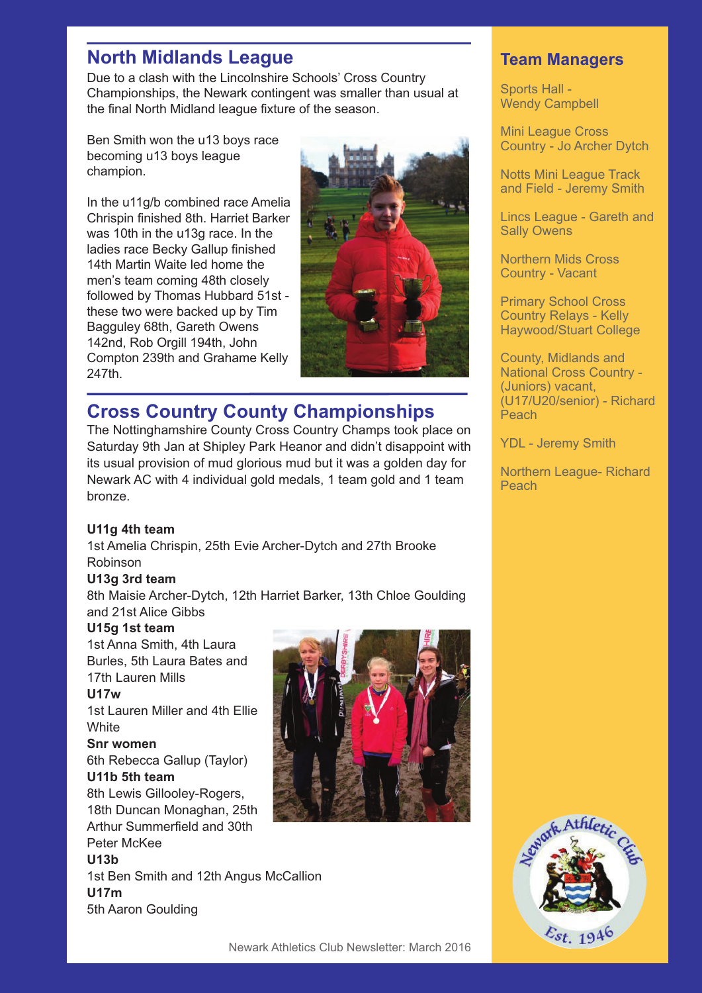### **North Midlands League**

Due to a clash with the Lincolnshire Schools' Cross Country Championships, the Newark contingent was smaller than usual at the final North Midland league fixture of the season.

Ben Smith won the u13 boys race becoming u13 boys league champion.

In the u11g/b combined race Amelia Chrispin finished 8th. Harriet Barker was 10th in the u13g race. In the ladies race Becky Gallup finished 14th Martin Waite led home the men's team coming 48th closely followed by Thomas Hubbard 51st these two were backed up by Tim Bagguley 68th, Gareth Owens 142nd, Rob Orgill 194th, John Compton 239th and Grahame Kelly 247th.



### **Cross Country County Championships**

The Nottinghamshire County Cross Country Champs took place on Saturday 9th Jan at Shipley Park Heanor and didn't disappoint with its usual provision of mud glorious mud but it was a golden day for Newark AC with 4 individual gold medals, 1 team gold and 1 team bronze.

#### **U11g 4th team**

1st Amelia Chrispin, 25th Evie Archer-Dytch and 27th Brooke Robinson

#### **U13g 3rd team**

8th Maisie Archer-Dytch, 12th Harriet Barker, 13th Chloe Goulding and 21st Alice Gibbs

#### **U15g 1st team**

1st Anna Smith, 4th Laura Burles, 5th Laura Bates and 17th Lauren Mills

#### **U17w**

1st Lauren Miller and 4th Ellie **White** 

#### **Snr women**

6th Rebecca Gallup (Taylor) **U11b 5th team**

8th Lewis Gillooley-Rogers, 18th Duncan Monaghan, 25th Arthur Summerfield and 30th Peter McKee

#### **U13b**

1st Ben Smith and 12th Angus McCallion **U17m** 5th Aaron Goulding



#### **Team Managers**

Sports Hall - Wendy Campbell

Mini League Cross Country - Jo Archer Dytch

Notts Mini League Track and Field - Jeremy Smith

Lincs League - Gareth and Sally Owens

Northern Mids Cross Country - Vacant

Primary School Cross Country Relays - Kelly Haywood/Stuart College

County, Midlands and National Cross Country - (Juniors) vacant, (U17/U20/senior) - Richard Peach

YDL - Jeremy Smith

Northern League- Richard Peach

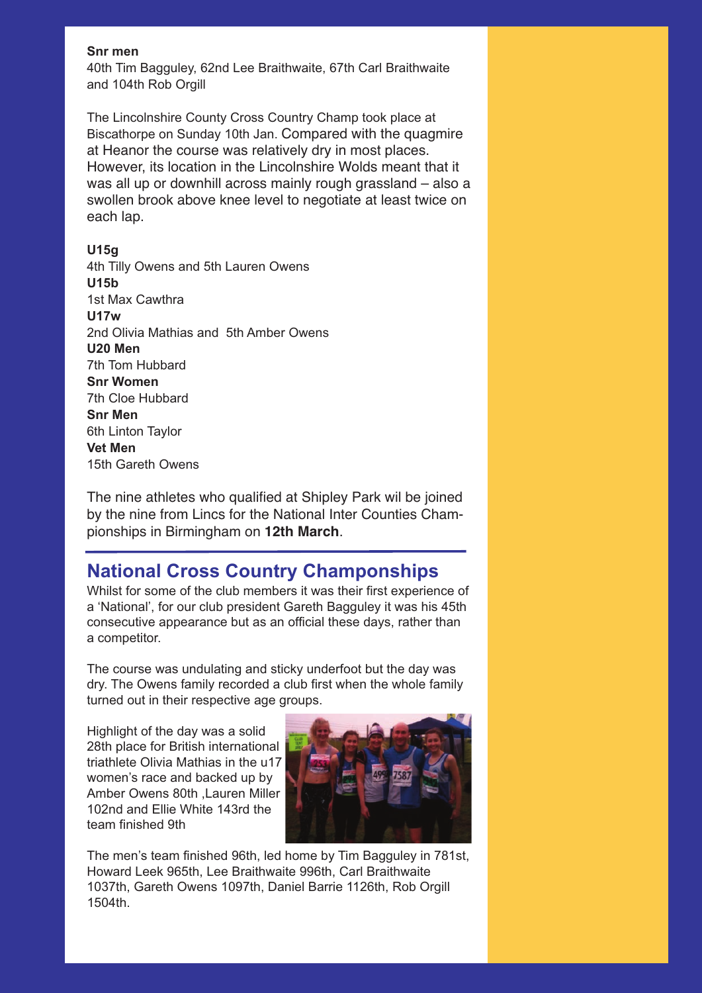#### **Snr men**

40th Tim Bagguley, 62nd Lee Braithwaite, 67th Carl Braithwaite and 104th Rob Orgill

The Lincolnshire County Cross Country Champ took place at Biscathorpe on Sunday 10th Jan. Compared with the quagmire at Heanor the course was relatively dry in most places. However, its location in the Lincolnshire Wolds meant that it was all up or downhill across mainly rough grassland – also a swollen brook above knee level to negotiate at least twice on each lap.

#### **U15g**

4th Tilly Owens and 5th Lauren Owens **U15b**  1st Max Cawthra **U17w** 2nd Olivia Mathias and 5th Amber Owens **U20 Men**  7th Tom Hubbard **Snr Women** 7th Cloe Hubbard **Snr Men**  6th Linton Taylor **Vet Men** 15th Gareth Owens

The nine athletes who qualified at Shipley Park wil be joined by the nine from Lincs for the National Inter Counties Championships in Birmingham on **12th March**.

### **National Cross Country Champonships**

Whilst for some of the club members it was their first experience of a 'National', for our club president Gareth Bagguley it was his 45th consecutive appearance but as an official these days, rather than a competitor.

The course was undulating and sticky underfoot but the day was dry. The Owens family recorded a club first when the whole family turned out in their respective age groups.

Highlight of the day was a solid 28th place for British international triathlete Olivia Mathias in the u17 women's race and backed up by Amber Owens 80th ,Lauren Miller 102nd and Ellie White 143rd the team finished 9th



The men's team finished 96th, led home by Tim Bagguley in 781st, Howard Leek 965th, Lee Braithwaite 996th, Carl Braithwaite 1037th, Gareth Owens 1097th, Daniel Barrie 1126th, Rob Orgill 1504th.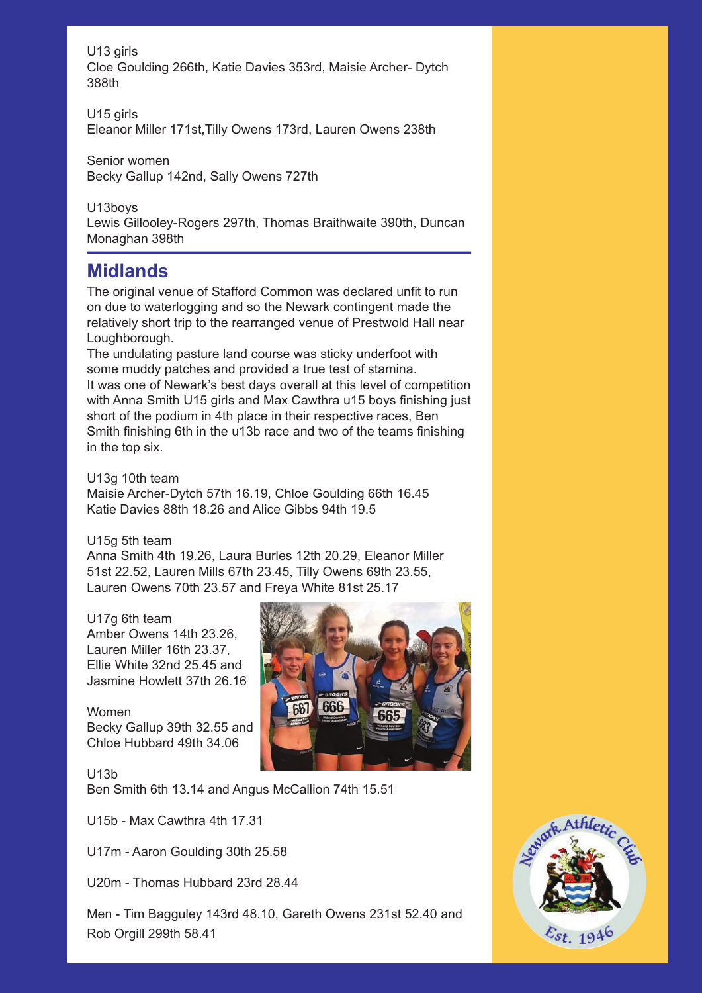U13 girls

Cloe Goulding 266th, Katie Davies 353rd, Maisie Archer- Dytch 388th

U15 girls Eleanor Miller 171st,Tilly Owens 173rd, Lauren Owens 238th

Senior women Becky Gallup 142nd, Sally Owens 727th

U13boys Lewis Gillooley-Rogers 297th, Thomas Braithwaite 390th, Duncan Monaghan 398th

### **Midlands**

The original venue of Stafford Common was declared unfit to run on due to waterlogging and so the Newark contingent made the relatively short trip to the rearranged venue of Prestwold Hall near Loughborough.

The undulating pasture land course was sticky underfoot with some muddy patches and provided a true test of stamina. It was one of Newark's best days overall at this level of competition with Anna Smith U15 girls and Max Cawthra u15 boys finishing just short of the podium in 4th place in their respective races, Ben Smith finishing 6th in the u13b race and two of the teams finishing in the top six.

U13g 10th team

Maisie Archer-Dytch 57th 16.19, Chloe Goulding 66th 16.45 Katie Davies 88th 18.26 and Alice Gibbs 94th 19.5

#### U15g 5th team

Anna Smith 4th 19.26, Laura Burles 12th 20.29, Eleanor Miller 51st 22.52, Lauren Mills 67th 23.45, Tilly Owens 69th 23.55, Lauren Owens 70th 23.57 and Freya White 81st 25.17

#### U17g 6th team

Amber Owens 14th 23.26, Lauren Miller 16th 23.37, Ellie White 32nd 25.45 and Jasmine Howlett 37th 26.16

Women Becky Gallup 39th 32.55 and Chloe Hubbard 49th 34.06



U13b Ben Smith 6th 13.14 and Angus McCallion 74th 15.51

U15b - Max Cawthra 4th 17.31

U17m - Aaron Goulding 30th 25.58

U20m - Thomas Hubbard 23rd 28.44

Men - Tim Bagguley 143rd 48.10, Gareth Owens 231st 52.40 and Rob Orgill 299th 58.41

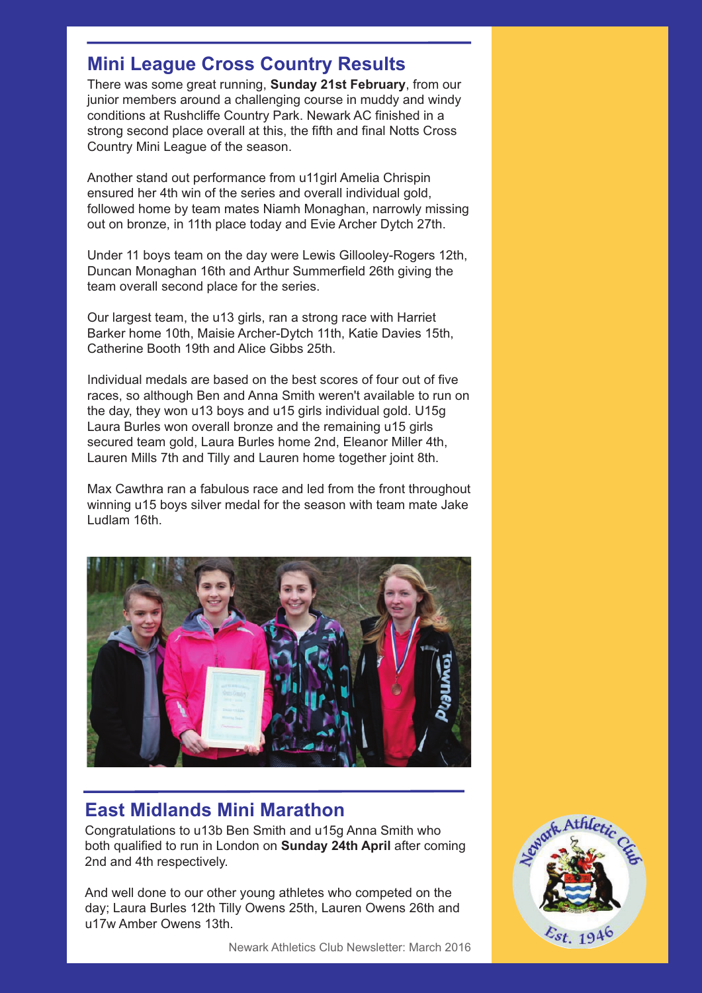### **Mini League Cross Country Results**

There was some great running, **Sunday 21st February**, from our junior members around a challenging course in muddy and windy conditions at Rushcliffe Country Park. Newark AC finished in a strong second place overall at this, the fifth and final Notts Cross Country Mini League of the season.

Another stand out performance from u11girl Amelia Chrispin ensured her 4th win of the series and overall individual gold, followed home by team mates Niamh Monaghan, narrowly missing out on bronze, in 11th place today and Evie Archer Dytch 27th.

Under 11 boys team on the day were Lewis Gillooley-Rogers 12th, Duncan Monaghan 16th and Arthur Summerfield 26th giving the team overall second place for the series.

Our largest team, the u13 girls, ran a strong race with Harriet Barker home 10th, Maisie Archer-Dytch 11th, Katie Davies 15th, Catherine Booth 19th and Alice Gibbs 25th.

Individual medals are based on the best scores of four out of five races, so although Ben and Anna Smith weren't available to run on the day, they won u13 boys and u15 girls individual gold. U15g Laura Burles won overall bronze and the remaining u15 girls secured team gold, Laura Burles home 2nd, Eleanor Miller 4th, Lauren Mills 7th and Tilly and Lauren home together joint 8th.

Max Cawthra ran a fabulous race and led from the front throughout winning u15 boys silver medal for the season with team mate Jake Ludlam 16th.



### **East Midlands Mini Marathon**

Congratulations to u13b Ben Smith and u15g Anna Smith who both qualified to run in London on **Sunday 24th April** after coming 2nd and 4th respectively.

And well done to our other young athletes who competed on the day; Laura Burles 12th Tilly Owens 25th, Lauren Owens 26th and u17w Amber Owens 13th.

Newark Athletics Club Newsletter: March 2016

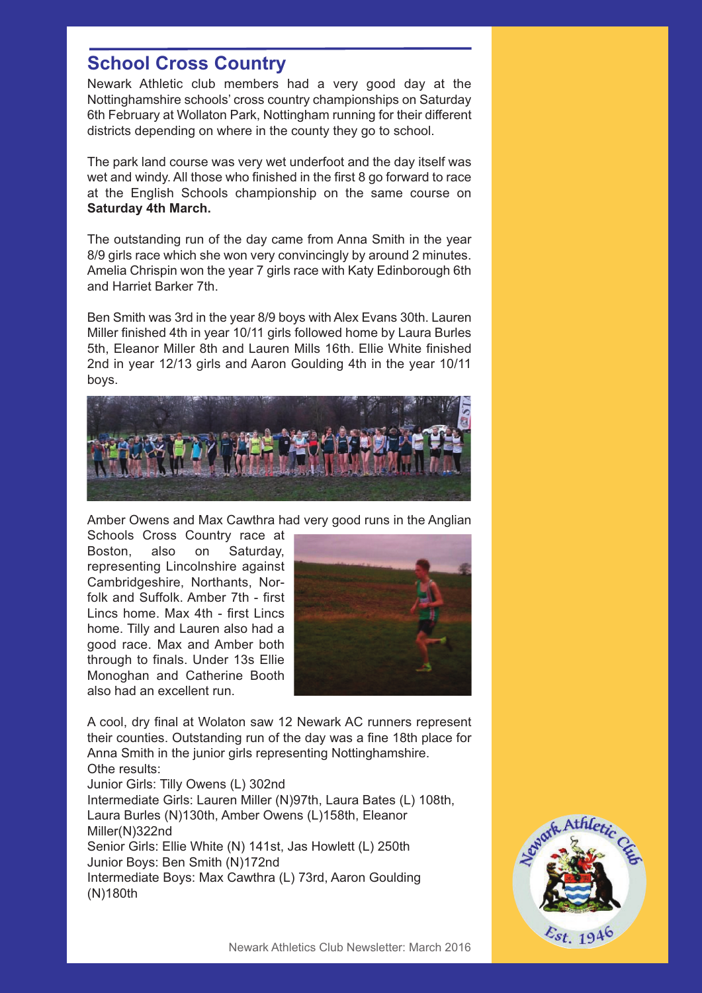### **School Cross Country**

Newark Athletic club members had a very good day at the Nottinghamshire schools' cross country championships on Saturday 6th February at Wollaton Park, Nottingham running for their different districts depending on where in the county they go to school.

The park land course was very wet underfoot and the day itself was wet and windy. All those who finished in the first 8 go forward to race at the English Schools championship on the same course on **Saturday 4th March.**

The outstanding run of the day came from Anna Smith in the year 8/9 girls race which she won very convincingly by around 2 minutes. Amelia Chrispin won the year 7 girls race with Katy Edinborough 6th and Harriet Barker 7th.

Ben Smith was 3rd in the year 8/9 boys with Alex Evans 30th. Lauren Miller finished 4th in year 10/11 girls followed home by Laura Burles 5th, Eleanor Miller 8th and Lauren Mills 16th. Ellie White finished 2nd in year 12/13 girls and Aaron Goulding 4th in the year 10/11 boys.



Amber Owens and Max Cawthra had very good runs in the Anglian

Schools Cross Country race at Boston, also on Saturday, representing Lincolnshire against Cambridgeshire, Northants, Norfolk and Suffolk. Amber 7th - first Lincs home. Max 4th - first Lincs home. Tilly and Lauren also had a good race. Max and Amber both through to finals. Under 13s Ellie Monoghan and Catherine Booth also had an excellent run.



A cool, dry final at Wolaton saw 12 Newark AC runners represent their counties. Outstanding run of the day was a fine 18th place for Anna Smith in the junior girls representing Nottinghamshire. Othe results: Junior Girls: Tilly Owens (L) 302nd

Intermediate Girls: Lauren Miller (N)97th, Laura Bates (L) 108th, Laura Burles (N)130th, Amber Owens (L)158th, Eleanor Miller(N)322nd Senior Girls: Ellie White (N) 141st, Jas Howlett (L) 250th Junior Boys: Ben Smith (N)172nd Intermediate Boys: Max Cawthra (L) 73rd, Aaron Goulding (N)180th

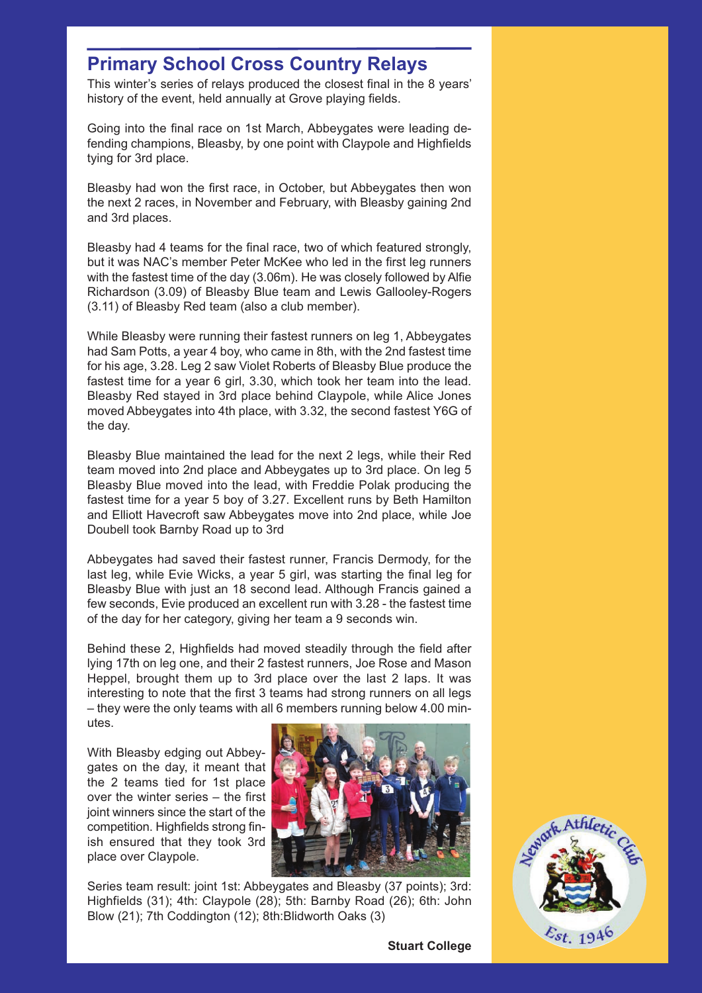### **Primary School Cross Country Relays**

This winter's series of relays produced the closest final in the 8 years' history of the event, held annually at Grove playing fields.

Going into the final race on 1st March, Abbeygates were leading defending champions, Bleasby, by one point with Claypole and Highfields tying for 3rd place.

Bleasby had won the first race, in October, but Abbeygates then won the next 2 races, in November and February, with Bleasby gaining 2nd and 3rd places.

Bleasby had 4 teams for the final race, two of which featured strongly, but it was NAC's member Peter McKee who led in the first leg runners with the fastest time of the day (3.06m). He was closely followed by Alfie Richardson (3.09) of Bleasby Blue team and Lewis Gallooley-Rogers (3.11) of Bleasby Red team (also a club member).

While Bleasby were running their fastest runners on leg 1, Abbeygates had Sam Potts, a year 4 boy, who came in 8th, with the 2nd fastest time for his age, 3.28. Leg 2 saw Violet Roberts of Bleasby Blue produce the fastest time for a year 6 girl, 3.30, which took her team into the lead. Bleasby Red stayed in 3rd place behind Claypole, while Alice Jones moved Abbeygates into 4th place, with 3.32, the second fastest Y6G of the day.

Bleasby Blue maintained the lead for the next 2 legs, while their Red team moved into 2nd place and Abbeygates up to 3rd place. On leg 5 Bleasby Blue moved into the lead, with Freddie Polak producing the fastest time for a year 5 boy of 3.27. Excellent runs by Beth Hamilton and Elliott Havecroft saw Abbeygates move into 2nd place, while Joe Doubell took Barnby Road up to 3rd

Abbeygates had saved their fastest runner, Francis Dermody, for the last leg, while Evie Wicks, a year 5 girl, was starting the final leg for Bleasby Blue with just an 18 second lead. Although Francis gained a few seconds, Evie produced an excellent run with 3.28 - the fastest time of the day for her category, giving her team a 9 seconds win.

Behind these 2, Highfields had moved steadily through the field after lying 17th on leg one, and their 2 fastest runners, Joe Rose and Mason Heppel, brought them up to 3rd place over the last 2 laps. It was interesting to note that the first 3 teams had strong runners on all legs – they were the only teams with all 6 members running below 4.00 minutes.

With Bleasby edging out Abbeygates on the day, it meant that the 2 teams tied for 1st place over the winter series – the first joint winners since the start of the competition. Highfields strong finish ensured that they took 3rd place over Claypole.



Series team result: joint 1st: Abbeygates and Bleasby (37 points): 3rd: Highfields (31); 4th: Claypole (28); 5th: Barnby Road (26); 6th: John Blow (21); 7th Coddington (12); 8th:Blidworth Oaks (3)



Newark Athletics Club Newsletter: March 2016 **Stuart College**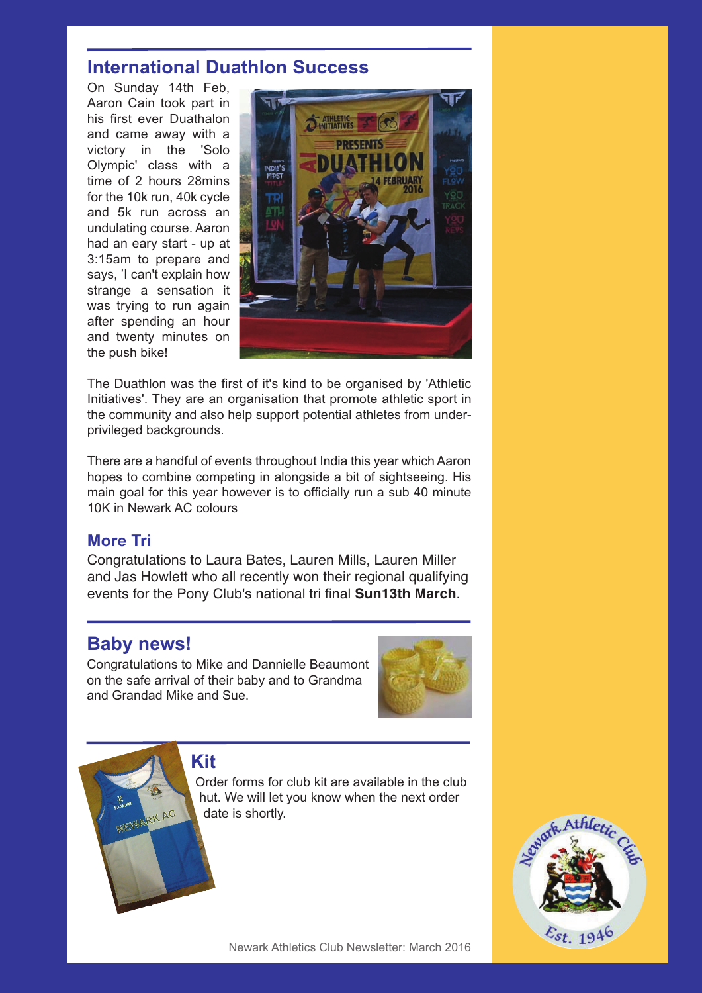### **International Duathlon Success**

On Sunday 14th Feb, Aaron Cain took part in his first ever Duathalon and came away with a victory in the 'Solo Olympic' class with a time of 2 hours 28mins for the 10k run, 40k cycle and 5k run across an undulating course. Aaron had an eary start - up at 3:15am to prepare and says, 'I can't explain how strange a sensation it was trying to run again after spending an hour and twenty minutes on the push bike!



The Duathlon was the first of it's kind to be organised by 'Athletic Initiatives'. They are an organisation that promote athletic sport in the community and also help support potential athletes from underprivileged backgrounds.

There are a handful of events throughout India this year which Aaron hopes to combine competing in alongside a bit of sightseeing. His main goal for this year however is to officially run a sub 40 minute 10K in Newark AC colours

#### **More Tri**

Congratulations to Laura Bates, Lauren Mills, Lauren Miller and Jas Howlett who all recently won their regional qualifying events for the Pony Club's national tri final **Sun13th March**.

### **Baby news!**

RK AC

Congratulations to Mike and Dannielle Beaumont on the safe arrival of their baby and to Grandma and Grandad Mike and Sue.



**Kit**

Order forms for club kit are available in the club hut. We will let you know when the next order date is shortly.

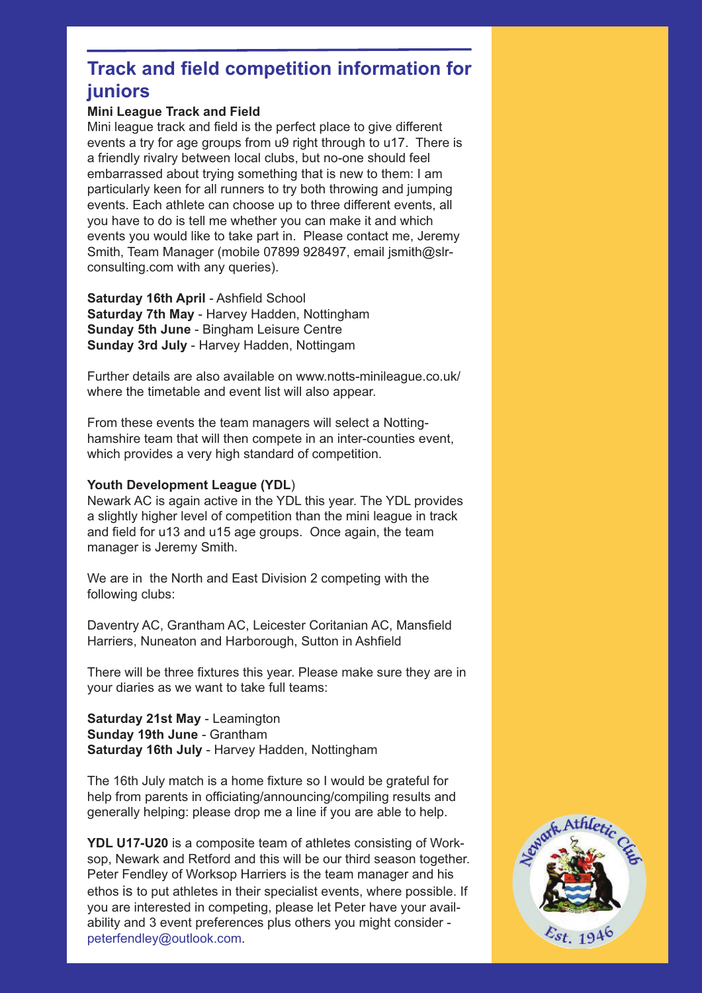### **Track and field competition information for juniors**

#### **Mini League Track and Field**

Mini league track and field is the perfect place to give different events a try for age groups from u9 right through to u17. There is a friendly rivalry between local clubs, but no-one should feel embarrassed about trying something that is new to them: I am particularly keen for all runners to try both throwing and jumping events. Each athlete can choose up to three different events, all you have to do is tell me whether you can make it and which events you would like to take part in. Please contact me, Jeremy Smith, Team Manager (mobile 07899 928497, email jsmith@slrconsulting.com with any queries).

**Saturday 16th April** - Ashfield School **Saturday 7th May** - Harvey Hadden, Nottingham **Sunday 5th June** - Bingham Leisure Centre **Sunday 3rd July** - Harvey Hadden, Nottingam

Further details are also available on www.notts-minileague.co.uk/ where the timetable and event list will also appear.

From these events the team managers will select a Nottinghamshire team that will then compete in an inter-counties event, which provides a very high standard of competition.

#### **Youth Development League (YDL**)

Newark AC is again active in the YDL this year. The YDL provides a slightly higher level of competition than the mini league in track and field for u13 and u15 age groups. Once again, the team manager is Jeremy Smith.

We are in the North and East Division 2 competing with the following clubs:

Daventry AC, Grantham AC, Leicester Coritanian AC, Mansfield Harriers, Nuneaton and Harborough, Sutton in Ashfield

There will be three fixtures this year. Please make sure they are in your diaries as we want to take full teams:

**Saturday 21st May** - Leamington **Sunday 19th June** - Grantham **Saturday 16th July** - Harvey Hadden, Nottingham

The 16th July match is a home fixture so I would be grateful for help from parents in officiating/announcing/compiling results and generally helping: please drop me a line if you are able to help.

**YDL U17-U20** is a composite team of athletes consisting of Worksop, Newark and Retford and this will be our third season together. Peter Fendley of Worksop Harriers is the team manager and his ethos is to put athletes in their specialist events, where possible. If you are interested in competing, please let Peter have your availability and 3 event preferences plus others you might consider peterfendley@outlook.com.

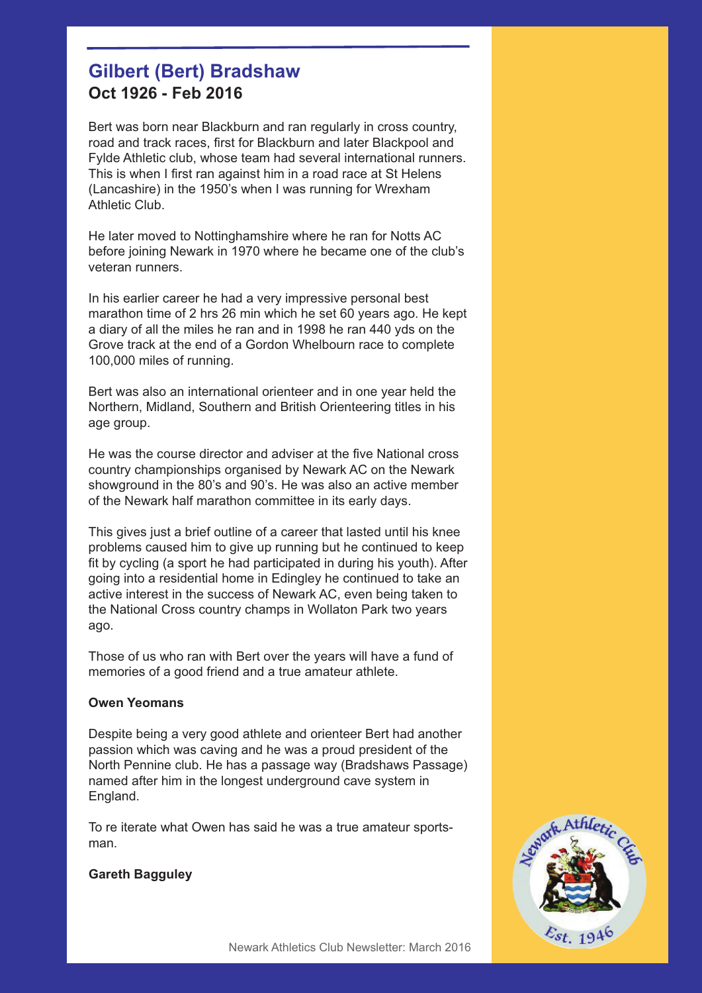### **Gilbert (Bert) Bradshaw Oct 1926 - Feb 2016**

Bert was born near Blackburn and ran regularly in cross country, road and track races, first for Blackburn and later Blackpool and Fylde Athletic club, whose team had several international runners. This is when I first ran against him in a road race at St Helens (Lancashire) in the 1950's when I was running for Wrexham Athletic Club.

He later moved to Nottinghamshire where he ran for Notts AC before joining Newark in 1970 where he became one of the club's veteran runners.

In his earlier career he had a very impressive personal best marathon time of 2 hrs 26 min which he set 60 years ago. He kept a diary of all the miles he ran and in 1998 he ran 440 yds on the Grove track at the end of a Gordon Whelbourn race to complete 100,000 miles of running.

Bert was also an international orienteer and in one year held the Northern, Midland, Southern and British Orienteering titles in his age group.

He was the course director and adviser at the five National cross country championships organised by Newark AC on the Newark showground in the 80's and 90's. He was also an active member of the Newark half marathon committee in its early days.

This gives just a brief outline of a career that lasted until his knee problems caused him to give up running but he continued to keep fit by cycling (a sport he had participated in during his youth). After going into a residential home in Edingley he continued to take an active interest in the success of Newark AC, even being taken to the National Cross country champs in Wollaton Park two years ago.

Those of us who ran with Bert over the years will have a fund of memories of a good friend and a true amateur athlete.

#### **Owen Yeomans**

Despite being a very good athlete and orienteer Bert had another passion which was caving and he was a proud president of the North Pennine club. He has a passage way (Bradshaws Passage) named after him in the longest underground cave system in England.

To re iterate what Owen has said he was a true amateur sportsman.

#### **Gareth Bagguley**

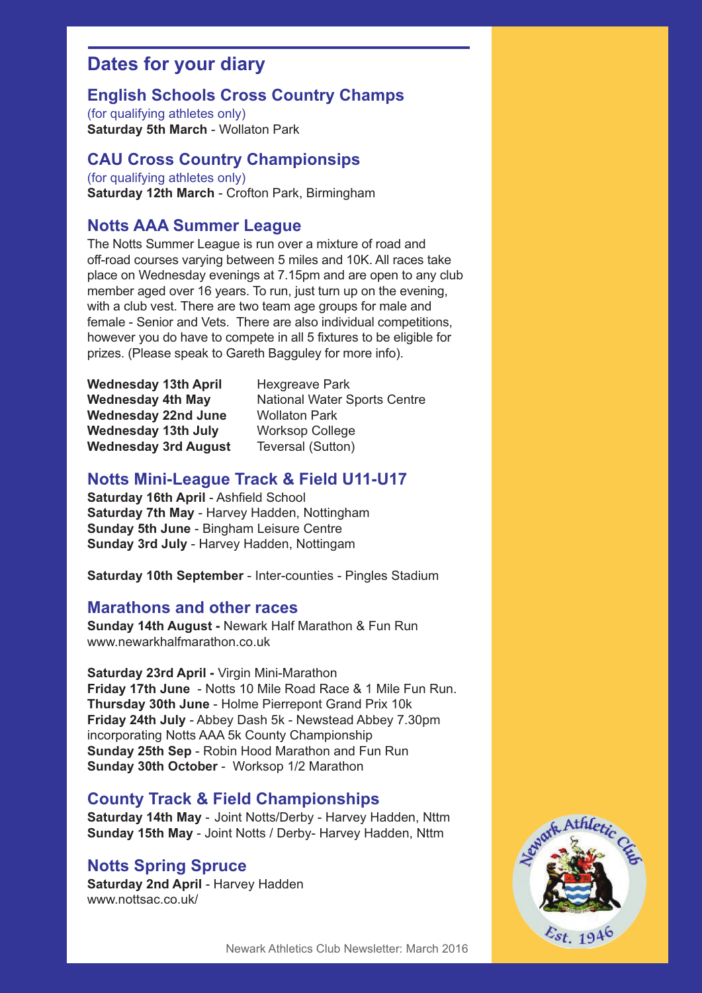### **Dates for your diary**

#### **English Schools Cross Country Champs**

(for qualifying athletes only) **Saturday 5th March** - Wollaton Park

#### **CAU Cross Country Championsips**

(for qualifying athletes only) **Saturday 12th March** - Crofton Park, Birmingham

#### **Notts AAA Summer League**

The Notts Summer League is run over a mixture of road and off-road courses varying between 5 miles and 10K. All races take place on Wednesday evenings at 7.15pm and are open to any club member aged over 16 years. To run, just turn up on the evening, with a club vest. There are two team age groups for male and female - Senior and Vets. There are also individual competitions, however you do have to compete in all 5 fixtures to be eligible for prizes. (Please speak to Gareth Bagguley for more info).

Wednesday 13th April Hexgreave Park **Wednesday 22nd June** Wollaton Park **Wednesday 13th July** Worksop College **Wednesday 3rd August** Teversal (Sutton)

**Wednesday 4th May Mational Water Sports Centre** 

#### **Notts Mini-League Track & Field U11-U17**

**Saturday 16th April** - Ashfield School **Saturday 7th May** - Harvey Hadden, Nottingham **Sunday 5th June** - Bingham Leisure Centre **Sunday 3rd July** - Harvey Hadden, Nottingam

**Saturday 10th September** - Inter-counties - Pingles Stadium

#### **Marathons and other races**

**Sunday 14th August -** Newark Half Marathon & Fun Run www.newarkhalfmarathon.co.uk

**Saturday 23rd April -** Virgin Mini-Marathon **Friday 17th June** - Notts 10 Mile Road Race & 1 Mile Fun Run. **Thursday 30th June** - Holme Pierrepont Grand Prix 10k **Friday 24th July** - Abbey Dash 5k - Newstead Abbey 7.30pm incorporating Notts AAA 5k County Championship **Sunday 25th Sep** - Robin Hood Marathon and Fun Run **Sunday 30th October** - Worksop 1/2 Marathon

#### **County Track & Field Championships**

**Saturday 14th May** - Joint Notts/Derby - Harvey Hadden, Nttm **Sunday 15th May** - Joint Notts / Derby- Harvey Hadden, Nttm

#### **Notts Spring Spruce**

**Saturday 2nd April** - Harvey Hadden www.nottsac.co.uk/